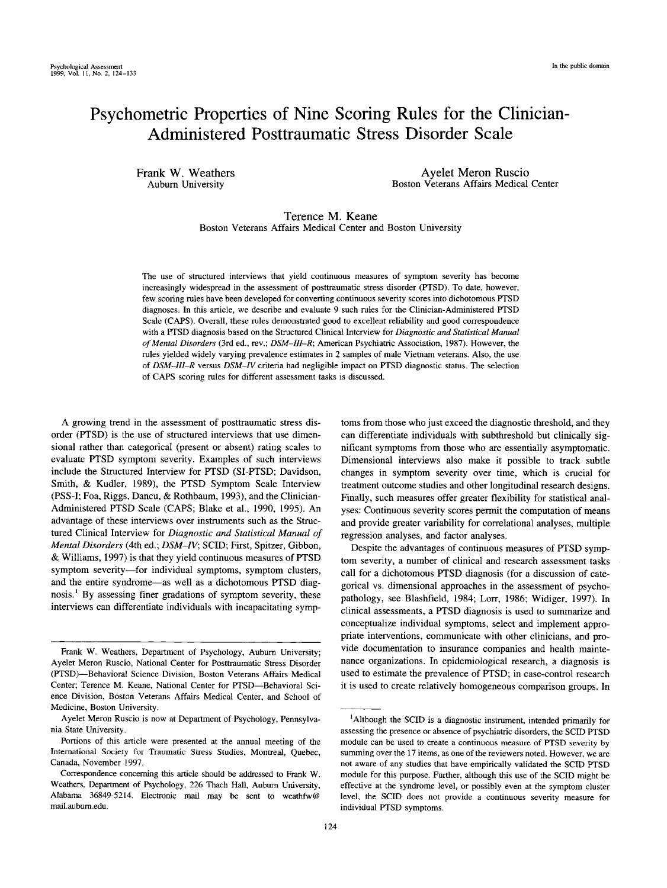# **Psychometric Properties of Nine Scoring Rules for the Clinician Administered Posttraumatic Stress Disorder Scale**

Frank W. Weathers **Ayelet Meron Ruscio**<br>Auburn University **Ayelet Meron Ruscio**<br>Boston Veterans Affairs Medical Boston Veterans Affairs Medical Center

> Terence M. Keane Boston Veterans Affairs Medical Center and Boston University

The use of structured interviews that yield continuous measures of symptom severity has become increasingly widespread in the assessment of posttraumatic stress disorder (PTSD). To date, however, few scoring rules have been developed for converting continuous severity scores into dichotomous PTSD diagnoses. In this article, we describe and evaluate 9 such rules for the Clinician-Administered PTSD Scale (CAPS). Overall, these rules demonstrated good to excellent reliability and good correspondence with a PTSD diagnosis based on the Structured Clinical Interview for *Diagnostic and Statistical Manual ofMental Disorders* (3rd ed., rev.; *DSM-III-R;* American Psychiatric Association, 1987). However, the rules yielded widely varying prevalence estimates in 2 samples of male Vietnam veterans. Also, the use of *DSM-III-R* versus *DSM-IV* criteria had negligible impact on PTSD diagnostic status. The selection of CAPS scoring rules for different assessment tasks is discussed.

order (PTSD) is the use of structured interviews that use dimen can differentiate individuals with subthreshold but clinically sigsional rather than categorical (present or absent) rating scales to nificant symptoms from those who are essentially asymptomatic. evaluate PTSD symptom severity. Examples of such interviews Dimensional interviews also make it possible to track subtle include the Structured Interview for PTSD (SI-PTSD; Davidson, changes in symptom severity over time, which is crucial for Smith, & Kudler, 1989), the PTSD Symptom Scale Interview treatment outcome studies and other longitu (PSS-I; Foa, Riggs, Dancu, & Rothbaum, 1993), and the Clinician-<br>Administered PTSD Scale (CAPS; Blake et al., 1990, 1995). An vses: Continuous severity scores permit the computation of means advantage of these interviews over instruments such as the Struc-<br>and provide greater variability for correlational analyses, multiple tured Clinical Interview for *Diagnostic and Statistical Manual of* regression analyses, and factor analyses. *Mental Disorders* (4th ed.; *DSM-IV*; SCID; First, Spitzer, Gibbon, Despite the advantages of continuous measures of PTSD symp-<br>& Williams, 1997) is that they yield continuous measures of PTSD tom severity a number of cli & Williams, 1997) is that they yield continuous measures of PTSD tom severity, a number of clinical and research assessment tasks symptom severity—for individual symptoms, symptom clusters, call for a dichotomous PTSD diagnosis (for a discussion of cate-<br>and the entire syndrome—as well as a dichotomous PTSD diag-<br>gorical vs. dimensional approaches in and the entire syndrome—as well as a dichotomous PTSD diag-<br>nosis.<sup>1</sup> By assessing finer gradations of symptom severity, these pathology see Blackfield 1084; Lory 1086; Widigar 1007), In nosis. By assessing finer gradations of symptom severity, these pathology, see Blashfield, 1984; Lorr, 1986; Widiger, 1997). In interviews can differentiate individuals with incapacitating symp-<br>clinical assessments a PTSD

A growing trend in the assessment of posttraumatic stress dis-<br>toms from those who just exceed the diagnostic threshold, and they treatment outcome studies and other longitudinal research designs. yses: Continuous severity scores permit the computation of means

clinical assessments, a PTSD diagnosis is used to summarize and conceptualize individual symptoms, select and implement appropriate interventions, communicate with other clinicians, and pro-Frank W. Weathers, Department of Psychology, Auburn University; vide documentation to insurance companies and health mainte-

Ayelet Meron Ruscio, National Center for Posttraumatic Stress Disorder nance organizations. In epidemiological research, a diagnosis is (PTSD)-Behavioral Science Division, Boston Veterans Affairs Medical used to estimate the prevalence of PTSD; in case-control research Center; Terence M. Keane, National Center for PTSD—Behavioral Sci-<br>it is used to create relatively homogeneous comparison groups. In ence Division, Boston Veterans Affairs Medical Center, and School of Medicine, Boston University.

Ayelet Meron Ruscio is now at Department of Psychology, Pennsylva <sup>1</sup>Although the SCID is a diagnostic instrument, intended primarily for nia State University.

International Society for Traumatic Stress Studies, Montreal, Quebec,<br>
Canada. November 1997.<br>
The reviewers not aware of any studies that have empirically validated the SCID PTSD.

Correspondence concerning this article should be addressed to Frank W. module for this purpose. Further, although this use of the SCID might be Weathers, Department of Psychology, 226 Thach Hall, Auburn University, effecti Weathers, Department of Psychology, 226 Thach Hall, Auburn University, effective at the syndrome level, or possibly even at the symptom cluster Alabama 36849-5214. Electronic mail may be sent to weathfw@ level, the SCID do Alabama 36849-5214. Electronic mail may be sent to weathfw@ level, the SCID does not provide a continuous severity measure for mail.auburn.edu.

assessing the presence or absence of psychiatric disorders, the SCID PTSD<br>Portions of this article were presented at the annual meeting of the module can be used to create a continuous measure of PTSD severity by Portions of this article were presented at the annual meeting of the module can be used to create a continuous measure of PTSD severity by International Society for Traumatic Stress Studies, Montreal, Quebec, summing over Inada, November 1997.<br>Correspondence concerning this article should be addressed to Frank W. module for this purpose. Further, although this use of the SCID might be individual PTSD symptoms.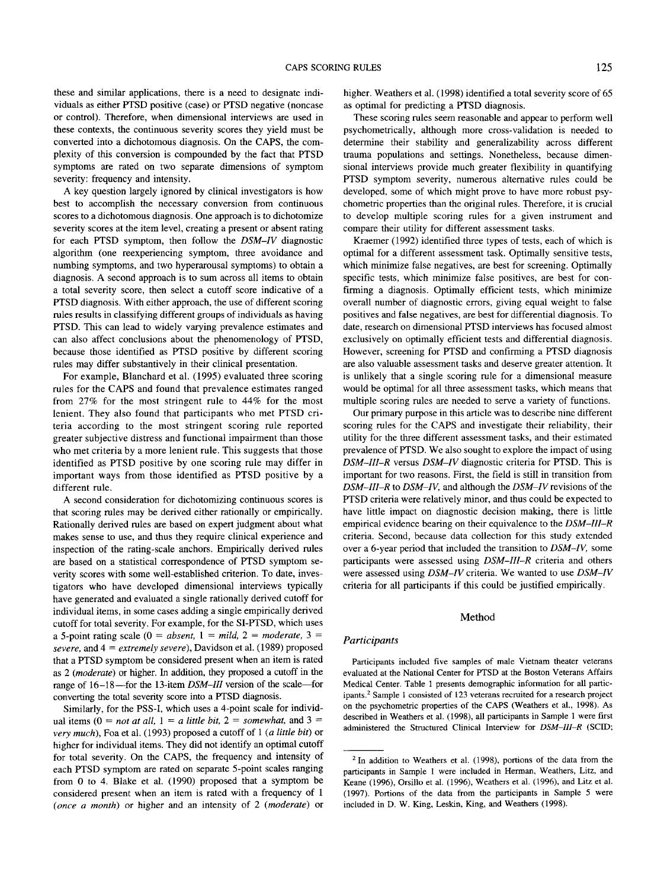these and similar applications, there is a need to designate individuals as either PTSD positive (case) or PTSD negative (noncase or control). Therefore, when dimensional interviews are used in these contexts, the continuous severity scores they yield must be converted into a dichotomous diagnosis. On the CAPS, the complexity of this conversion is compounded by the fact that PTSD symptoms are rated on two separate dimensions of symptom severity: frequency and intensity.

A key question largely ignored by clinical investigators is how best to accomplish the necessary conversion from continuous scores to a dichotomous diagnosis. One approach is to dichotomize severity scores at the item level, creating a present or absent rating for each PTSD symptom, then follow the *DSM-IV* diagnostic algorithm (one reexperiencing symptom, three avoidance and numbing symptoms, and two hyperarousal symptoms) to obtain a diagnosis. A second approach is to sum across all items to obtain a total severity score, then select a cutoff score indicative of a PTSD diagnosis. With either approach, the use of different scoring rules results in classifying different groups of individuals as having PTSD. This can lead to widely varying prevalence estimates and can also affect conclusions about the phenomenology of PTSD, because those identified as PTSD positive by different scoring rules may differ substantively in their clinical presentation.

For example, Blanchard et al. (1995) evaluated three scoring rules for the CAPS and found that prevalence estimates ranged from 27% for the most stringent rule to 44% for the most lenient. They also found that participants who met PTSD criteria according to the most stringent scoring rule reported greater subjective distress and functional impairment than those who met criteria by a more lenient rule. This suggests that those identified as PTSD positive by one scoring rule may differ in important ways from those identified as PTSD positive by a different rule.

A second consideration for dichotomizing continuous scores is that scoring rules may be derived either rationally or empirically. Rationally derived rules are based on expert judgment about what makes sense to use, and thus they require clinical experience and inspection of the rating-scale anchors. Empirically derived rules are based on a statistical correspondence of PTSD symptom severity scores with some well-established criterion. To date, investigators who have developed dimensional interviews typically have generated and evaluated a single rationally derived cutoff for individual items, in some cases adding a single empirically derived cutoff for total severity. For example, for the SI-PTSD, which uses a 5-point rating scale ( $0 = absent$ ,  $1 = mild$ ,  $2 = moderate$ ,  $3 =$ *severe,* and 4 = *extremely severe),* Davidson et al. (1989) proposed that a PTSD symptom be considered present when an item is rated as 2 *(moderate)* or higher. In addition, they proposed a cutoff in the range of  $16-18$ -for the 13-item *DSM-III* version of the scale-for converting the total severity score into a PTSD diagnosis.

Similarly, for the PSS-I, which uses a 4-point scale for individual items ( $0 = not$  *at all,*  $1 = a$  *little bit,*  $2 = somewhat$ , and  $3 =$ *very much),* Foa et al. (1993) proposed a cutoff of I *(a little bit)* or higher for individual items. They did not identify an optimal cutoff for total severity. On the CAPS, the frequency and intensity of each PTSD symptom are rated on separate 5-point scales ranging from 0 to 4. Blake et al. (1990) proposed that a symptom be considered present when an item is rated with a frequency of I *(once a month)* or higher and an intensity of 2 *(moderate)* or higher. Weathers et al. (1998) identified a total severity score of 65 as optimal for predicting a PTSD diagnosis.

These scoring rules seem reasonable and appear to perform well psychometrically, although more cross-validation is needed to determine their stability and generalizability across different trauma populations and settings. Nonetheless, because dimensional interviews provide much greater flexibility in quantifying PTSD symptom severity, numerous alternative rules could be developed, some of which might prove to have more robust psychometric properties than the original rules. Therefore, it is crucial to develop multiple scoring rules for a given instrument and compare their utility for different assessment tasks.

Kraemer (1992) identified three types of tests, each of which is optimal for a different assessment task. Optimally sensitive tests, which minimize false negatives, are best for screening. Optimally specific tests, which minimize false positives, are best for confirming a diagnosis. Optimally efficient tests, which minimize overall number of diagnostic errors, giving equal weight to false positives and false negatives, are best for differential diagnosis. To date, research on dimensional PTSD interviews has focused almost exclusively on optimally efficient tests and differential diagnosis. However, screening for PTSD and confirming a PTSD diagnosis are also valuable assessment tasks and deserve greater attention. It is unlikely that a single scoring rule for a dimensional measure would be optimal for all three assessment tasks, which means that multiple scoring rules are needed to serve a variety of functions.

Our primary purpose in this article was to describe nine different scoring rules for the CAPS and investigate their reliability, their utility for the three different assessment tasks, and their estimated prevalence of PTSD. We also sought to explore the impact of using *DSM-III-R* versus *DSM-IV* diagnostic criteria for PTSD. This is important for two reasons. First, the field is still in transition from *DSM-III-R* to *DSM-IV,* and although the *DSM-IV* revisions of the PTSD criteria were relatively minor, and thus could be expected to have little impact on diagnostic decision making, there is little empirical evidence bearing on their equivalence to the *DSM-III-R*  criteria. Second, because data collection for this study extended over a 6-year period that included the transition to *DSM-IV,* some participants were assessed using *DSM-III-R* criteria and others were assessed using *DSM-IV* criteria. We wanted to use *DSM-IV*  criteria for all participants if this could be justified empirically.

#### Method

#### *Participants*

Participants included five samples of male Vietnam theater veterans evaluated at the National Center for PTSD at the Boston Veterans Affairs Medical Center. Table 1 presents demographic information for all participants? Sample I consisted of 123 veterans recruited for a research project on the psychometric properties of the CAPS (Weathers et aI., 1998). As described in Weathers et al. (1998), all participants in Sample I were first administered the Structured Clinical Interview for *DSM-III-R* (SCID;

<sup>&</sup>lt;sup>2</sup> In addition to Weathers et al. (1998), portions of the data from the participants in Sample I were included in Herman, Weathers, Litz, and Keane (1996), Orsillo et al. (1996), Weathers et al. (1996), and Litz et al. (1997). Portions of the data from the participants in Sample 5 were included in D. W. King, Leskin, King, and Weathers (1998).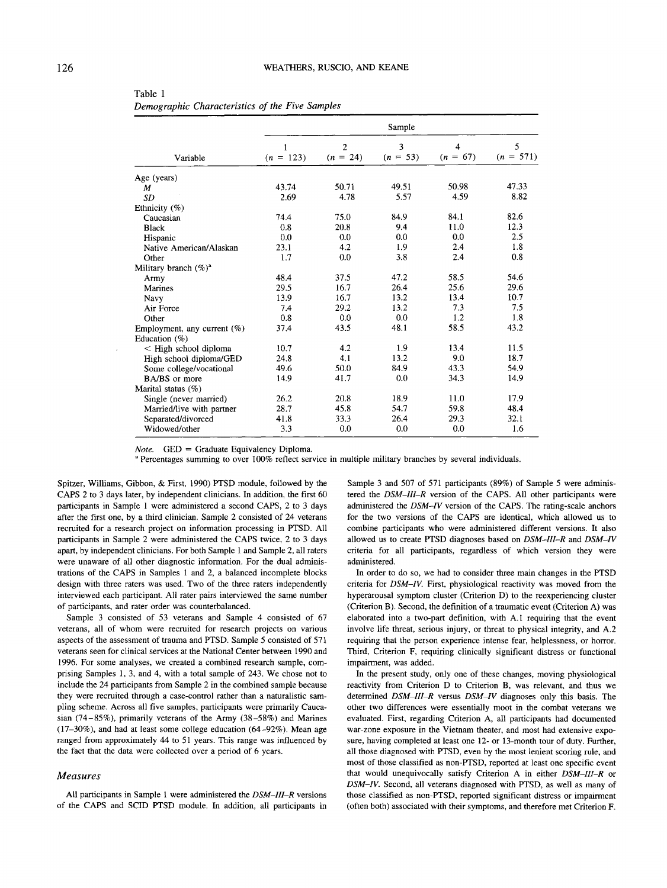|                                                 |             |                            | Sample          |                 |                  |
|-------------------------------------------------|-------------|----------------------------|-----------------|-----------------|------------------|
| Variable                                        | $(n = 123)$ | $\mathbf{2}$<br>$(n = 24)$ | 3<br>$(n = 53)$ | 4<br>$(n = 67)$ | 5<br>$(n = 571)$ |
| Age (years)                                     |             |                            |                 |                 |                  |
| M                                               | 43.74       | 50.71                      | 49.51           | 50.98           | 47.33            |
| <b>SD</b>                                       | 2.69        | 4.78                       | 5.57            | 4.59            | 8.82             |
| Ethnicity (%)                                   |             |                            |                 |                 |                  |
| Caucasian                                       | 74.4        | 75.0                       | 84.9            | 84.1            | 82.6             |
| <b>Black</b>                                    | 0.8         | 20.8                       | 9.4             | 11.0            | 12.3             |
| Hispanic                                        | 0.0         | 0.0                        | 0.0             | 0.0             | 2.5              |
| Native American/Alaskan                         | 23.1        | 4.2                        | 1.9             | 2.4             | 1.8              |
| Other                                           | 1.7         | 0.0                        | 3.8             | 2.4             | 0.8              |
| Military branch $(\%)^a$                        |             |                            |                 |                 |                  |
| Army                                            | 48.4        | 37.5                       | 47.2            | 58.5            | 54.6             |
| Marines                                         | 29.5        | 16.7                       | 26.4            | 25.6            | 29.6             |
| Navy                                            | 13.9        | 16.7                       | 13.2            | 13.4            | 10.7             |
| Air Force                                       | 7.4         | 29.2                       | 13.2            | 7.3             | 7.5              |
| Other                                           | 0.8         | 0.0                        | 0.0             | 1.2             | 1.8              |
| Employment, any current $(\%)$<br>Education (%) | 37.4        | 43.5                       | 48.1            | 58.5            | 43.2             |
| $\leq$ High school diploma                      | 10.7        | 4.2                        | 1.9             | 13.4            | 11.5             |
| High school diploma/GED                         | 24.8        | 4.1                        | 13.2            | 9.0             | 18.7             |
| Some college/vocational                         | 49.6        | 50.0                       | 84.9            | 43.3            | 54.9             |
| BA/BS or more                                   | 14.9        | 41.7                       | 0.0             | 34.3            | 14.9             |
| Marital status (%)                              |             |                            |                 |                 |                  |
| Single (never married)                          | 26.2        | 20.8                       | 18.9            | 11.0            | 17.9             |
| Married/live with partner                       | 28.7        | 45.8                       | 54.7            | 59.8            | 48.4             |
| Separated/divorced                              | 41.8        | 33.3                       | 26.4            | 29.3            | 32.1             |
| Widowed/other                                   | 3.3         | 0.0                        | 0.0             | 0.0             | 1.6              |

Table 1 *Demographic Characteristics of the Five Samples* 

*Note.* GED = Graduate Equivalency Diploma.

a Percentages summing to over 100% reflect service in multiple military branches by several individuals.

Spitzer, Williams, Gibbon, & First, 1990) PTSD module, followed by the CAPS 2 to 3 days later, by independent clinicians. In addition, the first 60 participants in Sample I were administered a second CAPS, 2 to 3 days after the first one, by a third clinician. Sample 2 consisted of 24 veterans recruited for a research project on information processing in PTSD. All participants in Sample 2 were administered the CAPS twice, 2 to 3 days apart, by independent clinicians. For both Sample 1 and Sample 2, all raters were unaware of all other diagnostic information. For the dual administrations of the CAPS in Samples I and 2, a balanced incomplete blocks design with three raters was used. Two of the three raters independently interviewed each participant. All rater pairs interviewed the same number of participants, and rater order was counterbalanced.

Sample 3 consisted of 53 veterans and Sample 4 consisted of 67 veterans, all of whom were recruited for research projects on various aspects of the assessment of trauma and PTSD. Sample 5 consisted of 571 veterans seen for clinical services at the National Center between 1990 and 1996. For some analyses, we created a combined research sample, comprising Samples I, 3, and 4, with a total sample of 243. We chose not to include the 24 participants from Sample 2 in the combined sample because they were recruited through a case-control rather than a naturalistic sampling scheme. Across all five samples, participants were primarily Caucasian (74-85%), primarily veterans of the Army (38-58%) and Marines (17-30%), and had at least some college education (64-92%). Mean age ranged from approximately 44 to 51 years. This range was influenced by the fact that the data were collected over a period of 6 years.

#### *Measures*

All participants in Sample I were administered the *DSM-IlI-R* versions of the CAPS and SCID PTSD module. In addition, all participants in Sample 3 and 507 of 571 participants (89%) of Sample 5 were administered the *DSM-IlI-R* version of the CAPS. All other participants were administered the *DSM-IV* version of the CAPS. The rating-scale anchors for the two versions of the CAPS are identical, which allowed us to combine participants who were administered different versions. It also allowed us to create PTSD diagnoses based on *DSM-IIl-R* and *DSM-IV*  criteria for all participants, regardless of which version they were administered.

In order to do so, we had to consider three main changes in the PTSD criteria for *DSM-IV.* First, physiological reactivity was moved from the hyperarousal symptom cluster (Criterion D) to the reexperiencing cluster (Criterion B). Second, the definition of a traumatic event (Criterion A) was elaborated into a two-part definition, with A. I requiring that the event involve life threat, serious injury, or threat to physical integrity, and A.2 requiring that the person experience intense fear, helplessness, or horror. Third, Criterion F, requiring clinically significant distress or functional impairment, was added.

In the present study, only one of these changes, moving physiological reactivity from Criterion D to Criterion B, was relevant, and thus we determined *DSM-IIl-R* versus *DSM-IV* diagnoses only this basis. The other two differences were essentially moot in the combat veterans we evaluated. First, regarding Criterion A, all participants had documented war-zone exposure in the Vietnam theater, and most had extensive exposure, having completed at least one 12- or 13-month tour of duty. Further, all those diagnosed with PTSD, even by the most lenient scoring rule, and most of those classified as non-PTSD, reported at least one specific event that would unequivocally satisfy Criterion A in either *DSM-IlI-R* or *DSM-IV.* Second, all veterans diagnosed with PTSD, as well as many of those classified as non-PTSD, reported significant distress or impairment (often both) associated with their symptoms, and therefore met Criterion F.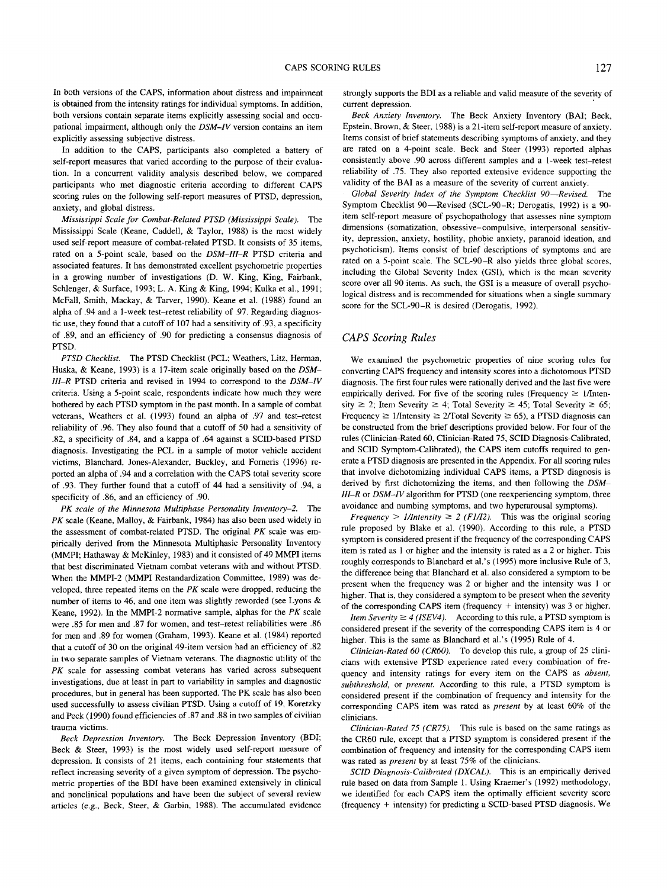In both versions of the CAPS, information about distress and impairment is obtained from the intensity ratings for individual symptoms. In addition, both versions contain separate items explicitly assessing social and occupational impairment, although only the *DSM-IV* version contains an item explicitly assessing subjective distress.

In addition to the CAPS, participants also completed a battery of self-report measures that varied according to the purpose of their evaluation. In a concurrent validity analysis described below, we compared participants who met diagnostic criteria according to different CAPS scoring rules on the following self-report measures of PTSD, depression, anxiety, and global distress.

*Mississippi Scale for Combat-Related PTSD (Mississippi Scale).* The Mississippi Scale (Keane, Caddell, & Taylor, 1988) is the most widely used self-report measure of combat-related PTSD. It consists of 35 items, rated on a 5-point scale, based on the *DSM-III-R* PTSD criteria and associated features. It has demonstrated excellent psychometric properties in a growing number of investigations (D. W. King, King, Fairbank, Schlenger, & Surface, 1993; L. A. King & King, 1994; Kulka et aI., 1991; McFall, Smith, Mackay, & Tarver, 1990). Keane et al. (1988) found an alpha of .94 and a I-week test-retest reliability of .97. Regarding diagnostic use, they found that a cutoff of 107 had a sensitivity of .93, a specificity of .89, and an efficiency of .90 for predicting a consensus diagnosis of PTSD.

*PTSD Checklist.* The PTSD Checklist (PCL; Weathers, Litz, Herman, Huska, & Keane, 1993) is a 17-item scale originally based on the *DSM-III-R* PTSD criteria and revised in 1994 to correspond to the *DSM-IV*  criteria. Using a 5-point scale, respondents indicate how much they were bothered by each PTSD symptom in the past month. In a sample of combat veterans, Weathers et al. (1993) found an alpha of .97 and test-retest reliability of .96. They also found that a cutoff of 50 had a sensitivity of .82, a specificity of .84, and a kappa of .64 against a SCID-based PTSD diagnosis. Investigating the PCL in a sample of motor vehicle accident victims, Blanchard, Jones-Alexander, Buckley, and Fomeris (1996) reported an alpha of .94 and a correlation with the CAPS total severity score of .93. They further found that a cutoff of 44 had a sensitivity of .94, a specificity of .86, and an efficiency of .90.

*PK scale of the Minnesota Multiphase Personality Inventory-2.* The *PK* scale (Keane, Malloy, & Fairbank, 1984) has also been used widely in the assessment of combat-related PTSD. The original *PK* scale was empirically derived from the Minnesota Multiphasic Personality Inventory (MMPI; Hathaway & McKinley, 1983) and it consisted of 49 MMPI items that best discriminated Vietnam combat veterans with and without PTSD. When the MMPI-2 (MMPI Restandardization Committee, 1989) was developed, three repeated items on the *PK* scale were dropped, reducing the number of items to 46, and one item was slightly reworded (see Lyons & Keane, 1992). In the MMPI-2 normative sample, alphas for the *PK* scale were .85 for men and .87 for women, and test-retest reliabilities were .86 for men and .89 for women (Graham, 1993). Keane et al. (1984) reported that a cutoff of 30 on the original 49-item version had an efficiency of .82 in two separate samples of Vietnam veterans. The diagnostic utility of the *PK* scale for assessing combat veterans has varied across subsequent investigations, due at least in part to variability in samples and diagnostic procedures, but in general has been supported. The PK scale has also been used successfully to assess civilian PTSD. Using a cutoff of 19, Koretzky and Peck (1990) found efficiencies of .87 and .88 in two samples of civilian trauma victims.

*Beck Depression Inventory.* The Beck Depression Inventory (BDI; Beck & Steer, 1993) is the most widely used self-report measure of depression. It consists of 21 items, each containing four statements that reflect increasing severity of a given symptom of depression. The psychometric properties of the BDI have been examined extensively in clinical and nonclinical populations and have been the subject of several review articles (e.g., Beck, Steer, & Garbin, 1988). The accumulated evidence strongly supports the BDI as a reliable and valid measure of the severity of current depression. .

*Beck Anxiety Inventory.* The Beck Anxiety Inventory (BAt; Beck, Epstein, Brown, & Steer, 1988) is a 21-item self-report measure of anxiety. Items consist of brief statements describing symptoms of anxiety, and they are rated on a 4-point scale. Beck and Steer (1993) reported alphas consistently above .90 across different samples and a I-week test-retest reliability of .75. They also reported extensive evidence supporting the validity of the BAI as a measure of the severity of current anxiety.

*Global Severity Index of the Symptom Checklist 90-Revised.* The Symptom Checklist 90—Revised (SCL-90-R; Derogatis, 1992) is a 90item self-report measure of psychopathology that assesses nine symptom dimensions (somatization, obsessive-compulsive, interpersonal sensitivity, depression, anxiety, hostility, phobic anxiety, paranoid ideation, and psychoticism). Items consist of brief descriptions of symptoms and are rated on a 5-point scale. The SCL-90 -R also yields three global scores, including the Global Severity Index (GS1), which is the mean severity score over all 90 items. As such, the GSI is a measure of overall psychological distress and is recommended for situations when a single summary score for the SCL-90-R is desired (Derogatis, 1992).

#### *CAPS Scoring Rules*

We examined the psychometric properties of nine scoring rules for converting CAPS frequency and intensity scores into a dichotomous PTSD diagnosis. The first four rules were rationally derived and the last five were empirically derived. For five of the scoring rules (Frequency  $\geq 1$ /Intensity  $\geq 2$ ; Item Severity  $\geq 4$ ; Total Severity  $\geq 45$ ; Total Severity  $\geq 65$ ; Frequency  $\geq$  1/Intensity  $\geq$  2/Total Severity  $\geq$  65), a PTSD diagnosis can be constructed from the brief descriptions provided below. For four of the rules (Clinician-Rated 60, Clinician-Rated 75, SCID Diagnosis-Calibrated, and SCID Symptom-Calibrated), the CAPS item cutoffs required to generate a PTSD diagnosis are presented in the Appendix. For all scoring rules that involve dichotomizing individual CAPS items, a PTSD diagnosis is derived by first dichotomizing the items, and then following the *DSM-III-R* or *DSM-IV* algorithm for PTSD (one reexperiencing symptom, three avoidance and numbing symptoms, and two hyperarousal symptoms).

*Frequency* > *I/Intensity*  $\geq$  2 *(F1/I2).* This was the original scoring rule proposed by Blake et al. (1990). According to this rule, a PTSD symptom is considered present if the frequency of the corresponding CAPS item is rated as I or higher and the intensity is rated as a 2 or higher. This roughly corresponds to Blanchard et al.'s (1995) more inclusive Rule of 3, the difference being that Blanchard et al. also considered a symptom to be present when the frequency was 2 or higher and the intensity was I or higher. That is, they considered a symptom to be present when the severity of the corresponding CAPS item (frequency + intensity) was 3 or higher.

*Item Severity*  $\geq 4$  *(ISEV4).* According to this rule, a PTSD symptom is considered present if the severity of the corresponding CAPS item is 4 or higher. This is the same as Blanchard et al.'s (1995) Rule of 4.

*Clinician-Rated* 60 *(CR60).* To develop this rule, a group of 25 clinicians with extensive PTSD experience rated every combination of frequency and intensity ratings for every item on the CAPS as *absent, subthreshold,* or *present.* According to this rule, a PTSD symptom is considered present if the combination of frequency and intensity for the corresponding CAPS item was rated as *present* by at least 60% of the clinicians.

*Clinician-Rated* 75 *(CR75).* This rule is based on the same ratings as the CR60 rule, except that a PTSD symptom is considered present if the combination of frequency and intensity for the corresponding CAPS item was rated as *present* by at least 75% of the clinicians.

*SCID Diagnosis-Calibrated (DXCAL).* This is an empirically derived rule based on data from Sample 1. Using Kraemer's (1992) methodology, we identified for each CAPS item the optimally efficient severity score (frequency + intensity) for predicting a SCID-based PTSD diagnosis. We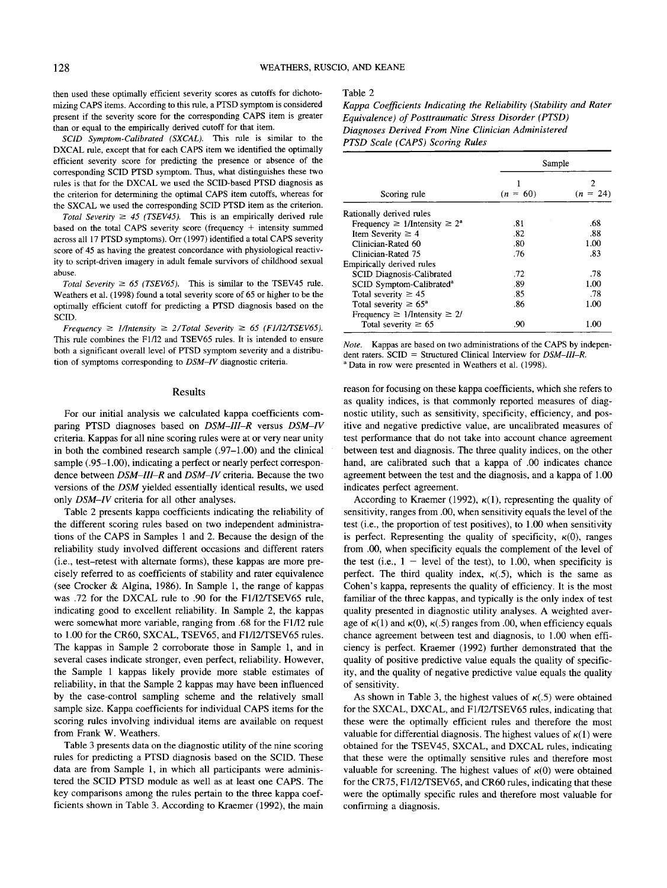then used these optimally efficient severity scores as cutoffs for dichotomizing CAPS items. According to this rule, a PTSD symptom is considered present if the severity score for the corresponding CAPS item is greater than or equal to the empirically derived cutoff for that item.

*SCID Symptom-Calibrated (SXCAL).* This rule is similar to the DXCAL rule, except that for each CAPS item we identified the optimally efficient severity score for predicting the presence or absence of the corresponding SCID PTSD symptom. Thus, what distinguishes these two rules is that for the DXCAL we used the SCID-based PTSD diagnosis as the criterion for determining the optimal CAPS item cutoffs, whereas for the SXCAL we used the corresponding SCID PTSD item as the criterion.

*Total Severity*  $\geq$  45 *(TSEV45).* This is an empirically derived rule based on the total CAPS severity score (frequency + intensity summed across all 17 PTSD symptoms). Orr (1997) identified a total CAPS severity score of 45 as having the greatest concordance with physiological reactivity to script-driven imagery in adult female survivors of childhood sexual abuse.

*Total Severity*  $\geq 65$  *(TSEV65).* This is similar to the TSEV45 rule. Weathers et al. (1998) found a total severity score of 65 or higher to be the optimally efficient cutoff for predicting a PTSD diagnosis based on the sci<sub>D</sub>.

*Frequency*  $\geq$  *l/Intensity*  $\geq$  2/*Total Severity*  $\geq$  65 *(F1/I2/TSEV65).* This rule combines the Fl1l2 and TSEV65 rules. It is intended to ensure both a significant overall level of PTSD symptom severity and a distribution of symptoms corresponding to DSM-1V diagnostic criteria.

#### Results

For our initial analysis we calculated kappa coefficients comparing PTSD diagnoses based on *DSM-III-R* versus *DSM-IV*  criteria. Kappas for all nine scoring rules were at or very near unity in both the combined research sample (.97-1.00) and the clinical sample (.95-1.00), indicating a perfect or nearly perfect correspondence between *DSM-III-R* and *DSM-IV* criteria. Because the two versions of the *DSM* yielded essentially identical results, we used only *DSM-IV* criteria for all other analyses.

Table 2 presents kappa coefficients indicating the reliability of the different scoring rules based on two independent administrations of the CAPS in Samples 1 and 2. Because the design of the reliability study involved different occasions and different raters (i.e., test-retest with alternate forms), these kappas are more precisely referred to as coefficients of stability and rater equivalence (see Crocker & Algina, 1986). In Sample 1, the range of kappas was .72 for the DXCAL rule to .90 for the F1/I2/TSEV65 rule, indicating good to excellent reliability. In Sample 2, the kappas were somewhat more variable, ranging from .68 for the F1/I2 rule to 1.00 for the CR60, SXCAL, TSEV65, and F1/I2/TSEV65 rules. The kappas in Sample 2 corroborate those in Sample 1, and in several cases indicate stronger, even perfect, reliability. However, the Sample 1 kappas likely provide more stable estimates of reliability, in that the Sample 2 kappas may have been influenced by the case-control sampling scheme and the relatively small sample size. Kappa coefficients for individual CAPS items for the scoring rules involving individual items are available on request from Frank W. Weathers.

Table 3 presents data on the diagnostic utility of the nine scoring rules for predicting a PTSD diagnosis based on the SCID. These data are from Sample 1, in which all participants were administered the SCID PTSD module as well as at least one CAPS. The key comparisons among the rules pertain to the three kappa coefficients shown in Table 3. According to Kraemer (1992), the main

#### Table 2

*Kappa Coefficients Indicating the Reliability (Stability and Rater Equivalence) of Posttraumatic Stress Disorder (PTSD) Diagnoses Derived From Nine Clinician Administered PTSD Scale (CAPS) Scoring Rules* 

|                                          | Sample     |            |  |
|------------------------------------------|------------|------------|--|
| Scoring rule                             | $(n = 60)$ | $(n = 24)$ |  |
| Rationally derived rules                 |            |            |  |
| Frequency $\geq 1$ /Intensity $\geq 2^a$ | .81        | .68        |  |
| Item Severity $\geq 4$                   | .82        | .88        |  |
| Clinician-Rated 60                       | .80        | 1.00       |  |
| Clinician-Rated 75                       | .76        | .83        |  |
| Empirically derived rules                |            |            |  |
| <b>SCID Diagnosis-Calibrated</b>         | .72        | .78        |  |
| SCID Symptom-Calibrated <sup>a</sup>     | .89        | 1.00       |  |
| Total severity $\geq 45$                 | .85        | .78        |  |
| Total severity $\geq 65^{\circ}$         | .86        | 1.00       |  |
| Frequency $\geq$ 1/Intensity $\geq$ 2/   |            |            |  |
| Total severity $\geq 65$                 | .90        | 1.00       |  |

*Note.* Kappas are based on two administrations of the CAPS by independent raters.  $SCID = Structured Clinical Interview for  $DSM-III-R$ .$ a Data in row were presented in Weathers et al. (1998).

reason for focusing on these kappa coefficients, which she refers to as quality indices, is that commonly reported measures of diagnostic utility, such as sensitivity, specificity, efficiency, and positive and negative predictive value, are uncalibrated measures of test performance that do not take into account chance agreement between test and diagnosis. The three quality indices, on the other hand, are calibrated such that a kappa of .00 indicates chance agreement between the test and the diagnosis, and a kappa of 1.00 indicates perfect agreement.

According to Kraemer (1992),  $\kappa(1)$ , representing the quality of sensitivity, ranges from .00, when sensitivity equals the level of the test (i.e., the proportion of test positives), to 1.00 when sensitivity is perfect. Representing the quality of specificity,  $\kappa(0)$ , ranges from .00, when specificity equals the complement of the level of the test (i.e.,  $1 -$  level of the test), to 1.00, when specificity is perfect. The third quality index,  $\kappa(.5)$ , which is the same as Cohen's kappa, represents the quality of efficiency. **It** is the most familiar of the three kappas, and typically is the only index of test quality presented in diagnostic utility analyses. A weighted average of  $\kappa(1)$  and  $\kappa(0)$ ,  $\kappa(.5)$  ranges from .00, when efficiency equals chance agreement between test and diagnosis, to 1.00 when efficiency is perfect. Kraemer (1992) further demonstrated that the quality of positive predictive value equals the quality of specificity, and the quality of negative predictive value equals the quality of sensitivity.

As shown in Table 3, the highest values of  $\kappa$ (.5) were obtained for the SXCAL, DXCAL, and F1/I2/TSEV65 rules, indicating that these were the optimally efficient rules and therefore the most valuable for differential diagnosis. The highest values of  $\kappa(1)$  were obtained for the TSEV45, SXCAL, and DXCAL rules, indicating that these were the optimally sensitive rules and therefore most valuable for screening. The highest values of  $\kappa(0)$  were obtained for the CR75, F1/I2/TSEV65, and CR60 rules, indicating that these were the optimally specific rules and therefore most valuable for confirming a diagnosis.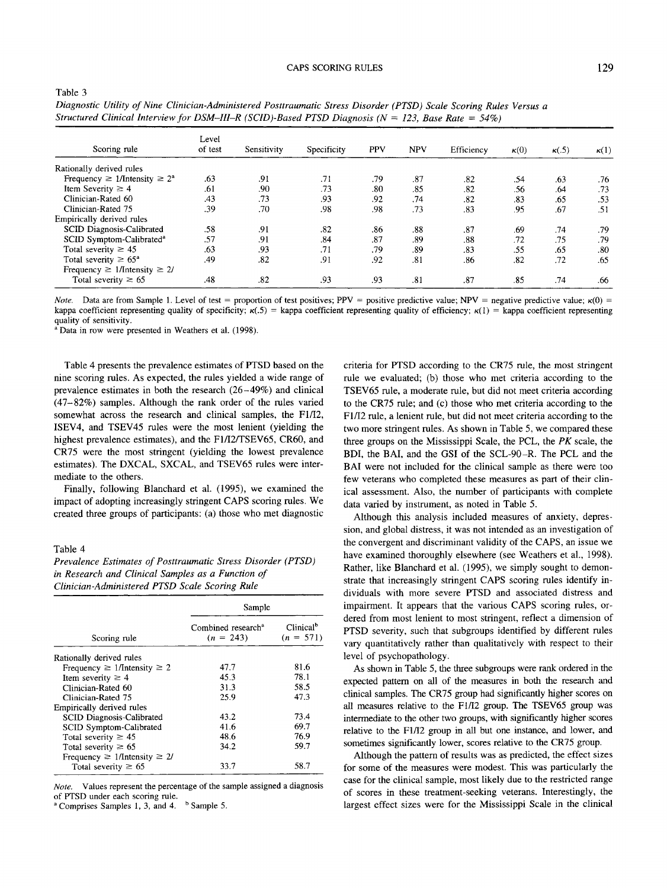| рақпозис өншү орттас сиписат-латтики ғозитияттік әнезз різонист (1 13р) әсин эсонтұ кинез vеrsus и<br>Structured Clinical Interview for DSM-III-R (SCID)-Based PTSD Diagnosis ( $N = 123$ , Base Rate = 54%) |                  |             |             |            |            |            |             |              |             |
|--------------------------------------------------------------------------------------------------------------------------------------------------------------------------------------------------------------|------------------|-------------|-------------|------------|------------|------------|-------------|--------------|-------------|
| Scoring rule                                                                                                                                                                                                 | Level<br>of test | Sensitivity | Specificity | <b>PPV</b> | <b>NPV</b> | Efficiency | $\kappa(0)$ | $\kappa(.5)$ | $\kappa(1)$ |
| Rationally derived rules                                                                                                                                                                                     |                  |             |             |            |            |            |             |              |             |
| Frequency $\geq$ 1/Intensity $\geq 2^a$                                                                                                                                                                      | .63              | .91         | .71         | .79        | .87        | .82        | .54         | .63          | .76         |
| Item Severity $\geq 4$                                                                                                                                                                                       | .61              | .90         | .73         | .80        | .85        | .82        | .56         | .64          | .73         |
| Clinician-Rated 60                                                                                                                                                                                           | .43              | .73         | .93         | .92        | .74        | .82        | .83         | -65          | .53         |
| Clinician-Rated 75                                                                                                                                                                                           | .39              | .70         | .98         | .98        | .73        | .83        | .95         | .67          | .51         |
| Empirically derived rules                                                                                                                                                                                    |                  |             |             |            |            |            |             |              |             |
| <b>SCID</b> Diagnosis-Calibrated                                                                                                                                                                             | .58              | .91         | .82         | .86        | .88        | .87        | .69         | .74          | .79         |
| SCID Symptom-Calibrated <sup>a</sup>                                                                                                                                                                         | .57              | .91         | .84         | .87        | .89        | .88        | .72         | .75          | .79         |
| Total severity $\geq 45$                                                                                                                                                                                     | .63              | .93         | .71         | .79        | .89        | .83        | .55         | .65          | .80         |
| Total severity $\geq 65^{\circ}$                                                                                                                                                                             | .49              | .82         | .91         | .92        | .81        | .86        | .82         | .72          | .65         |
| Frequency $\geq$ 1/Intensity $\geq$ 2/                                                                                                                                                                       |                  |             |             |            |            |            |             |              |             |
| Total severity $\geq 65$                                                                                                                                                                                     | .48              | .82         | .93         | .93        | .81        | .87        | .85         | .74          | .66         |

|  | Diagnostic Utility of Nine Clinician-Administered Posttraumatic Stress Disorder (PTSD) Scale Scoring Rules Versus a |  |  |
|--|---------------------------------------------------------------------------------------------------------------------|--|--|
|  | Structured Clinical Interview for DSM-III-R (SCID)-Based PTSD Diagnosis ( $N = 123$ , Base Rate = 54%)              |  |  |

*Note.* Data are from Sample 1. Level of test = proportion of test positives; PPV = positive predictive value; NPV = negative predictive value;  $\kappa(0)$  = kappa coefficient representing quality of specificity;  $\kappa(0.5) =$  kappa coefficient representing quality of efficiency;  $\kappa(1) =$  kappa coefficient representing quality of sensitivity.

<sup>a</sup> Data in row were presented in Weathers et al. (1998).

Table 4 presents the prevalence estimates of PTSD based on the nine scoring rules. As expected, the rules yielded a wide range of prevalence estimates in both the research (26-49%) and clinical (47-82%) samples. Although the rank order of the rules varied somewhat across the research and clinical samples, the F1/I2, ISEV4, and TSEV45 rules were the most lenient (yielding the highest prevalence estimates), and the F1/I2/TSEV65, CR60, and CR75 were the most stringent (yielding the lowest prevalence estimates). The DXCAL, SXCAL, and TSEV65 rules were intermediate to the others.

Finally, following Blanchard et al. (1995), we examined the impact of adopting increasingly stringent CAPS scoring rules. We created three groups of participants; (a) those who met diagnostic

## Table 4

Table 3

*Prevalence Estimates of Posttraumatic Stress Disorder (PTSD) in Research and Clinical Samples as a Function of Clinician-Administered PTSD Scale Scoring Rule* 

|                                         | Sample                                        |                                      |  |  |
|-----------------------------------------|-----------------------------------------------|--------------------------------------|--|--|
| Scoring rule                            | Combined research <sup>a</sup><br>$(n = 243)$ | Clinical <sup>b</sup><br>$(n = 571)$ |  |  |
| Rationally derived rules                |                                               |                                      |  |  |
| Frequency $\geq$ 1/Intensity $\geq$ 2   | 47.7                                          | 81.6                                 |  |  |
| Item severity $\geq 4$                  | 45.3                                          | 78.1                                 |  |  |
| Clinician-Rated 60                      | 31.3                                          | 58.5                                 |  |  |
| Clinician-Rated 75                      | 25.9                                          | 47.3                                 |  |  |
| Empirically derived rules               |                                               |                                      |  |  |
| <b>SCID Diagnosis-Calibrated</b>        | 43.2                                          | 73.4                                 |  |  |
| <b>SCID Symptom-Calibrated</b>          | 41.6                                          | 69.7                                 |  |  |
| Total severity $\geq 45$                | 48.6                                          | 76.9                                 |  |  |
| Total severity $\geq 65$                | 34.2                                          | 59.7                                 |  |  |
| Frequency $\geq 1$ /Intensity $\geq 2/$ |                                               |                                      |  |  |
| Total severity $\geq 65$                | 33.7                                          | 58.7                                 |  |  |

*Note.* Values represent the percentage of the sample assigned a diagnosis of PTSD under each scoring rule.

<sup>a</sup> Comprises Samples 1, 3, and 4. <sup>b</sup> Sample 5.

criteria for PTSD according to the CR75 rule, the most stringent rule we evaluated; (b) those who met criteria according to the TSEV65 rule, a moderate rule, but did not meet criteria according to the CR75 rule; and (c) those who met criteria according to the F1/I2 rule, a lenient rule, but did not meet criteria according to the two more stringent rules. As shown in Table 5, we compared these three groups on the Mississippi Scale, the PCL, the PK scale, the BDl, the BAI, and the OSI of the SCL-90-R. The PCL and the BAI were not included for the clinical sample as there were too few veterans who completed these measures as part of their clinical assessment. Also, the number of participants with complete data varied by instrument, as noted in Table 5.

Although this analysis included measures of anxiety, depression, and global distress, it was not intended as an investigation of the convergent and discriminant validity of the CAPS, an issue we have examined thoroughly elsewhere (see Weathers et aI., 1998). Rather, like Blanchard et al. (1995), we simply sought to demonstrate that increasingly stringent CAPS scoring rules identify individuals with more severe PTSD and associated distress and impairment. It appears that the various CAPS scoring rules, ordered from most lenient to most stringent, reflect a dimension of PTSD severity, such that subgroups identified by different rules vary quantitatively rather than qualitatively with respect to their level of psychopathology.

As shown in Table 5, the three subgroups were rank ordered in the expected pattem on all of the measures in both the research and clinical samples. The CR75 group had significantly higher scores on all measures relative to the F1/I2 group. The TSEV65 group was intermediate to the other two groups, with significantly higher scores relative to the F1/I2 group in all but one instance, and lower, and sometimes significantly lower, scores relative to the CR75 group.

Although the pattern of results was as predicted, the effect sizes for some of the measures were modest. This was particularly the case for the clinical sample, most likely due to the restricted range of scores in these treatment-seeking veterans. Interestingly, the largest effect sizes were for the Mississippi Scale in the clinical

 $\kappa(1)$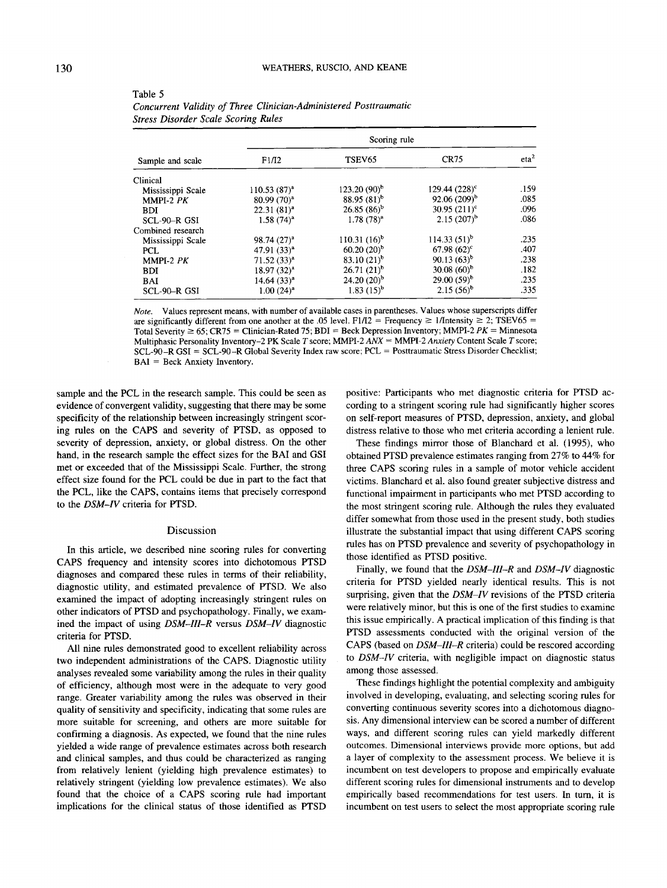|                   | Scoring rule     |                          |                           |                  |  |  |
|-------------------|------------------|--------------------------|---------------------------|------------------|--|--|
| Sample and scale  | F1/I2            | TSEV <sub>65</sub>       | <b>CR75</b>               | eta <sup>2</sup> |  |  |
| Clinical          |                  |                          |                           |                  |  |  |
| Mississippi Scale | $110.53(87)^{a}$ | $123.20(90)^{b}$         | 129.44 (228) <sup>e</sup> | .159             |  |  |
| MMPI-2 PK         | $80.99(70)^a$    | $88.95(81)$ <sup>b</sup> | $92.06(209)^{b}$          | .085             |  |  |
| <b>BDI</b>        | $22.31(81)^a$    | $26.85(86)^b$            | 30.95 $(211)^c$           | .096             |  |  |
| SCL-90-R GSI      | $1.58(74)^a$     | $1.78(78)^a$             | $2.15(207)^{b}$           | .086             |  |  |
| Combined research |                  |                          |                           |                  |  |  |
| Mississippi Scale | $98.74(27)^{a}$  | $110.31(16)^{b}$         | $114.33(51)^b$            | .235             |  |  |
| PCL.              | 47.91 $(33)^a$   | $60.20(20)^{b}$          | $67.98(62)^c$             | .407             |  |  |
| MMPI-2 PK         | $71.52(33)^{a}$  | $83.10(21)^{b}$          | $90.13(63)^{b}$           | .238             |  |  |
| <b>BDI</b>        | $18.97(32)^{a}$  | $26.71(21)$ <sup>b</sup> | $30.08(60)^{b}$           | .182             |  |  |
| BAI               | $14.64(33)^a$    | $24.20(20)^{b}$          | $29.00(59)^{b}$           | .235             |  |  |
| SCL-90-R GSI      | $1.00(24)^a$     | $1.83(15)^{b}$           | $2.15(56)^{b}$            | .335             |  |  |

| Table 5                                                           |
|-------------------------------------------------------------------|
| Concurrent Validity of Three Clinician-Administered Posttraumatic |
| <b>Stress Disorder Scale Scoring Rules</b>                        |

*Note.* Values represent means, with number of available cases in parentheses. Values whose superscripts differ are significantly different from one another at the .05 level. F1/I2 = Frequency  $\geq$  1/Intensity  $\geq$  2; TSEV65 = Total Severity  $\geq 65$ ; CR75 = Clinician-Rated 75; BDI = Beck Depression Inventory; MMPI-2 *PK* = Minnesota Multiphasic Personality Inventory-2 PK Scale *T* score; MMPI-2 *ANX* = MMPI-2 *Anxiety* Content Scale *T* score; SCL-90-R GSI = SCL-90-R Global Severity Index raw score; PCL = Posttraumatic Stress Disorder Checklist; BAI = Beck Anxiety Inventory.

sample and the PCL in the research sample. This could be seen as evidence of convergent validity, suggesting that there may be some specificity of the relationship between increasingly stringent scoring rules on the CAPS and severity of PTSD, as opposed to severity of depression, anxiety, or global distress. On the other hand, in the research sample the effect sizes for the BAI and GSI met or exceeded that of the Mississippi Scale. Further, the strong effect size found for the PCL could be due in part to the fact that the PCL, like the CAPS, contains items that precisely correspond to the *DSM-IV* criteria for PTSD.

#### Discussion

In this article, we described nine scoring rules for converting CAPS frequency and intensity scores into dichotomous PTSD diagnoses and compared these rules in terms of their reliability, diagnostic utility, and estimated prevalence of PTSD. We also examined the impact of adopting increasingly stringent rules on other indicators of PTSD and psychopathology. Finally, we examined the impact of using *DSM-III-R* versus *DSM-IV* diagnostic criteria for PTSD.

All nine rules demonstrated good to excellent reliability across two independent administrations of the CAPS. Diagnostic utility analyses revealed some variability among the rules in their quality of efficiency, although most were in the adequate to very good range. Greater variability among the rules was observed in their quality of sensitivity and specificity, indicating that some rules are more suitable for screening, and others are more suitable for confirming a diagnosis. As expected, we found that the nine rules yielded a wide range of prevalence estimates across both research and clinical samples, and thus could be characterized as ranging from relatively lenient (yielding high prevalence estimates) to relatively stringent (yielding low prevalence estimates). We also found that the choice of a CAPS scoring rule had important implications for the clinical status of those identified as PTSD positive: Participants who met diagnostic criteria for PTSD according to a stringent scoring rule had significantly higher scores on self-report measures of PTSD, depression, anxiety, and global distress relative to those who met criteria according a lenient rule.

These findings mirror those of Blanchard et al. (1995), who obtained PTSD prevalence estimates ranging from 27% to 44% for three CAPS scoring rules in a sample of motor vehicle accident victims. Blanchard et al. also found greater subjective distress and functional impairment in participants who met PTSD according to the most stringent scoring rule. Although the rules they evaluated differ somewhat from those used in the present study, both studies illustrate the substantial impact that using different CAPS scoring rules has on PTSD prevalence and severity of psychopathology in those identified as PTSD positive.

Finally, we found that the *DSM-III-R* and *DSM-IV* diagnostic criteria for PTSD yielded nearly identical results. This is not surprising, given that the *DSM-IV* revisions of the PTSD criteria were relatively minor, but this is one of the first studies to examine this issue empirically. A practical implication of this finding is that PTSD assessments conducted with the original version of the CAPS (based on *DSM-III-R* criteria) could be rescored according to *DSM-IV* criteria, with negligible impact on diagnostic status among those assessed.

These findings highlight the potential complexity and ambiguity involved in developing, evaluating, and selecting scoring rules for converting continuous severity scores into a dichotomous diagnosis. Any dimensional interview can be scored a number of different ways, and different scoring rules can yield markedly different outcomes. Dimensional interviews provide more options, but add a layer of complexity to the assessment process. We believe it is incumbent on test developers to propose and empirically evaluate different scoring rules for dimensional instruments and to develop empirically based recommendations for test users. In tum, it is incumbent on test users to select the most appropriate scoring rule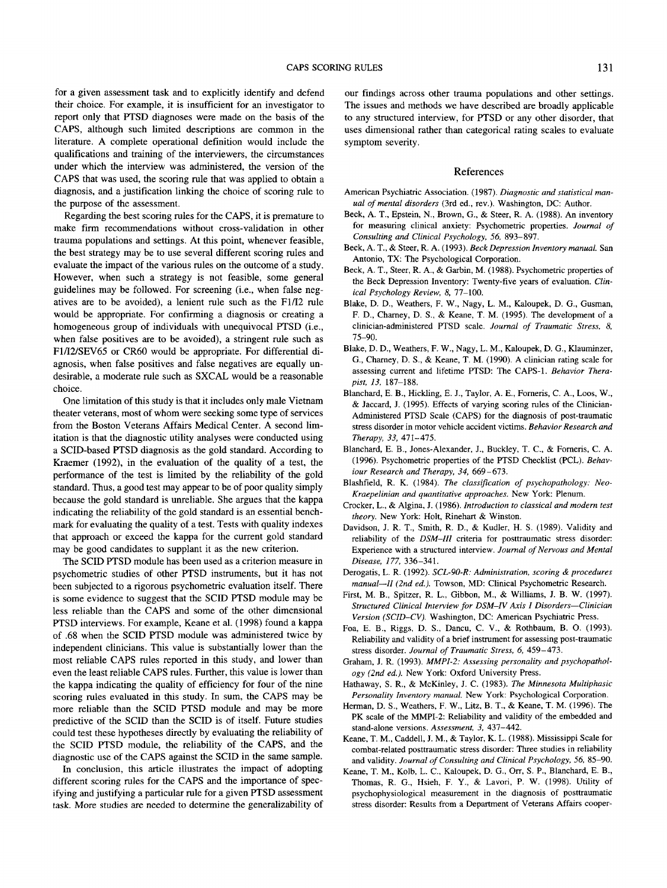for a given assessment task and to explicitly identify and defend their choice. For example, it is insufficient for an investigator to report only that PTSD diagnoses were made on the basis of the CAPS, although such limited descriptions are common in the literature. A complete operational definition would include the qualifications and training of the interviewers, the circumstances under which the interview was administered, the version of the CAPS that was used, the scoring rule that was applied to obtain a diagnosis, and a justification linking the choice of scoring rule to the purpose of the assessment.

Regarding the best scoring rules for the CAPS, it is premature to make firm recommendations without cross-validation in other trauma populations and settings. At this point, whenever feasible, the best strategy may be to use several different scoring rules and evaluate the impact of the various rules on the outcome of a study. However, when such a strategy is not feasible, some general guidelines may be followed. For screening (i.e., when false negatives are to be avoided), a lenient rule such as the F1/I2 rule would be appropriate. For confirming a diagnosis or creating a homogeneous group of individuals with unequivocal PTSD (i.e., when false positives are to be avoided), a stringent rule such as FllI2/SEV65 or CR60 would be appropriate. For differential diagnosis, when false positives and false negatives are equally undesirable, a moderate rule such as SXCAL would be a reasonable choice.

One limitation of this study is that it includes only male Vietnam theater veterans, most of whom were seeking some type of services from the Boston Veterans Affairs Medical Center. A second limitation is that the diagnostic utility analyses were conducted using a SCID-based PTSD diagnosis as the gold standard. According to Kraemer (1992), in the evaluation of the quality of a test, the performance of the test is limited by the reliability of the gold standard. Thus, a good test may appear to be of poor quality simply because the gold standard is unreliable. She argues that the kappa indicating the reliability of the gold standard is an essential benchmark for evaluating the quality of a test. Tests with quality indexes that approach or exceed the kappa for the current gold standard may be good candidates to supplant it as the new criterion.

The SCID PTSD module has been used as a criterion measure in psychometric studies of other PTSD instruments, but it has not been subjected to a rigorous psychometric evaluation itself. There is some evidence to suggest that the SCID PTSD module may be less reliable than the CAPS and some of the other dimensional PTSD interviews. For example, Keane et al. (1998) found a kappa of .68 when the SCID PTSD module was administered twice by independent clinicians. This value is substantially lower than the most reliable CAPS rules reported in this study, and lower than even the least reliable CAPS rules. Further, this value is lower than the kappa indicating the quality of efficiency for four of the nine scoring rules evaluated in this study. In sum, the CAPS may be more reliable than the SCID PTSD module and may be more predictive of the SCID than the SCID is of itself. Future studies could test these hypotheses directly by evaluating the reliability of the SCID PTSD module, the reliability of the CAPS, and the diagnostic use of the CAPS against the SCID in the same sample.

In conclusion, this article illustrates the impact of adopting different scoring rules for the CAPS and the importance of specifying and justifying a particular rule for a given PTSD assessment task. More studies are needed to determine the generalizability of our findings across other trauma populations and other settings. The issues and methods we have described are broadly applicable to any structured interview, for PTSD or any other disorder, that uses dimensional rather than categorical rating scales to evaluate symptom severity.

#### References

- American Psychiatric Association. (1987). *Diagnostic and statistical manual of mental disorders* (3rd ed., rev.). Washington, DC: Author.
- Beck, A. T., Epstein, N., Brown, G., & Steer, R. A. (1988). An inventory for measuring clinical anxiety: Psychometric properties. *Journal of Consulting and Clinical Psychology,* 56, 893-897.
- Beck, A. T., & Steer, R. A. (1993). *Beck Depression Inventory manual.* San Antonio, TX: The Psychological Corporation.
- Beck, A. T., Steer, R. A., & Garbin, M. (1988). Psychometric properties of the Beck Depression Inventory: Twenty-five years of evaluation. *Clinical Psychology Review,* 8, 77-100.
- Blake, D. D., Weathers, F. W., Nagy, L. M., Kaloupek, D. G., Gusman, F. D., Charney, D. S., & Keane, T. M. (1995). The development of a clinician-administered PTSD scale. *Journal of Traumatic Stress, 8,*  75-90.
- Blake, D. D., Weathers, F. W., Nagy, L. M., Kaloupek, D. G., Klauminzer, G., Charney, D. S., & Keane, T. M. (1990). A clinician rating scale for assessing current and lifetime PTSD: The CAPS-I. *Behavior Therapist,* 13, 187-188.
- Blanchard, E. B., Hickling, E. J., Taylor, A. E., Forneris, C. A., Loos, W., & Jaccard, J. (1995). Effects of varying scoring rules of the Clinician-Administered PTSD Scale (CAPS) for the diagnosis of post-traumatic stress disorder in motor vehicle accident victims. *Behavior Research and Therapy,* 33, 471-475.
- Blanchard, E. B., Jones-Alexander, J., Buckley, T. c., & Forneris, C. A. (1996). Psychometric properties of the PTSD Checklist (PCL). *Behaviour Research and Therapy,* 34, 669-673.
- Blashfield, R. K. (1984). *The classification of psychopathology: Neo-Kraepelinian and quantitative approaches.* New York: Plenum.
- Crocker, L., & Algina, J. (1986). *Introduction to classical and modern test theory.* New York: Holt, Rinehart & Winston.
- Davidson, J. R. T., Smith, R. D., & Kudler, H. S. (1989). Validity and reliability of the *DSM-III* criteria for posttraumatic stress disorder: Experience with a structured interview. Journal of Nervous and Mental *Disease, 177, 336-341.*
- Derogatis, L. R. (1992). *SCL-90-R: Administration, scoring* & *procedures manual-II (2nd ed.).* Towson, MD: Clinical Psychometric Research.
- First, M. B., Spitzer, R. L., Gibbon, M., & Williams, J. B. W. (1997). *Structured Clinical Interview for DSM-IV Axis 1 Disorders-Clinician Version (SCID-CV).* Washington, DC: American Psychiatric Press.
- Foa, E. B., Riggs, D. S., Dancu, C. V., & Rothbaum, B. O. (1993). Reliability and validity of a brief instrument for assessing post-traumatic stress disorder. *Journal of Traumatic Stress,* 6, 459-473.
- Graham, J. R. (1993). *MMPl-2: Assessing personality and psychopathology (2nd ed.).* New York: Oxford University Press.
- Hathaway, S. R., & McKinley, J. C. (1983). *The Minnesota Multiphasic Personality Inventory manual.* New York: Psychological Corporation.
- Herman, D. S., Weathers, F. W., Litz, B. T., & Keane, T. M. (1996). The PK scale of the MMPI-2: Reliability and validity of the embedded and stand-alone versions. *Assessment,* 3, 437-442.
- Keane, T. M., Caddell, J. M., & Taylor, K. L. (1988). Mississippi Scale for combat-related posttraumatic stress disorder: Three studies in reliability and validity. *Journal of Consulting and Clinical Psychology,* 56, 85-90.
- Keane, T. M., Kolb, L. C, Kaloupek, D. G., Orr, S. P., Blanchard, E. B., Thomas, R. G., Hsieh, F. Y., & Lavori, P. W. (1998). Utility of psychophysiological measurement in the diagnosis of posttraumatic stress disorder: Results from a Department of Veterans Affairs cooper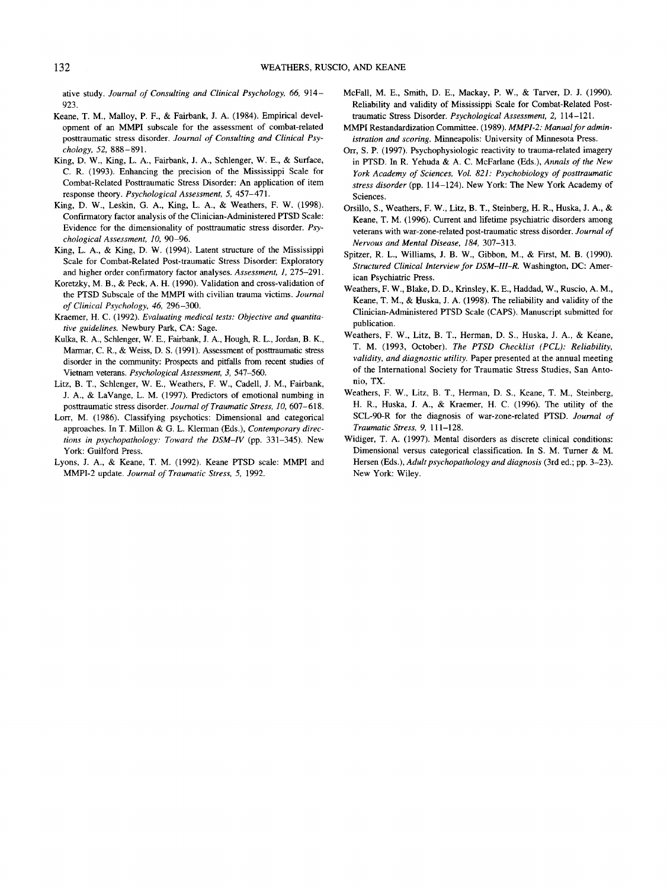ative study. *Journal of Consulting and Clinical Psychology,* 66, 914 923.

- Keane, T. M., Malloy, P. E, & Fairbank, J. A. (1984). Empirical development of an MMPI subscale for the assessment of combat-related posttraumatic stress disorder. *Journal of Consulting and Clinical Psychology,* 52, 888-891.
- King, D. W., King, L. A., Fairbank, J. A., Schlenger, W. E., & Surface, C. R. (1993). Enhancing the precision of the Mississippi Scale for Combat-Related Posttraumatic Stress Disorder: An application of item response theory. *Psychological Assessment,* 5, 457-471.
- King, D. W., Leskin, G. A., King, L. A., & Weathers, F. W. (1998). Confirmatory factor analysis of the Clinician-Administered PTSD Scale: Evidence for the dimensionality of posttraumatic stress disorder. *Psychological Assessment, 10, 90-96.*
- King, L. A., & King, D. W. (1994). Latent structure of the Mississippi Scale for Combat-Related Post-traumatic Stress Disorder: Exploratory and higher order confirmatory factor analyses. *Assessment,* 1, 275-291.
- Koretzky, M. B., & Peck, A. H. (1990). Validation and cross-validation of the PTSD Subscale of the MMPI with civilian trauma victims. *Journal of Clinical Psychology,* 46, 296-300.
- Kraemer, H. C. (1992). *Evaluating medical tests: Objective and quantitative guidelines.* Newbury Park, CA: Sage.
- Kulka, R. A., Schlenger, W. E., Fairbank, J. A., Hough, R. L., Jordan, B. K., Marmar, C. R, & Weiss, D. S. (1991). Assessment of posttraumatic stress disorder in the community; Prospects and pitfalls from recent studies of Vietnam veterans. *Psychological Assessment,* 3, 547-560.
- Litz, B. T., Schlenger, W. E., Weathers, F. W., Cadell, J. M., Fairbank, J. A., & LaVange, L. M. (1997). Predictors of emotional numbing in posttraumatic stress disorder. *Journal of Traumatic Stress, 10, 607-618*.
- Lorr, M. (1986). Classifying psychotics: Dimensional and categorical approaches. In T. Millon & G. L. Klerman (Eds.), *Contemporary directions* in *psychopathology: Toward the DSM-IV* (pp. 331-345). New York: Guilford Press.
- Lyons, J. A., & Keane, T. M. (1992). Keane PTSD scale: MMPI and MMPI-2 update. *Journal of Traumatic Stress,* 5, 1992.
- McFall, M. E., Smith, D. E., Mackay, P. W., & Tarver, D. J. (1990). Reliability and validity of Mississippi Scale for Combat-Related Posttraumatic Stress Disorder. *Psychological Assessment,* 2, 114-121.
- MMPI Restandardization Committee. (1989). *MMPI-2: Manual for administration and scoring.* Minneapolis; University of Minnesota Press.
- Orr, S. P. (1997). Psychophysiologic reactivity to trauma-related imagery in PTSD. In R. Yehuda & A. C. McFarlane (Eds.), *Annals of the New York Academy of Sciences, Vol.* 821: *Psychobiology of posttraumatic stress disorder* (pp. 114-124). New York: The New York Academy of Sciences.
- Orsillo, S., Weathers, F. W., Litz, B. T., Steinberg, H. R, Huska, J. A., & Keane, T. M. (1996). Current and lifetime psychiatric disorders among veterans with war-zone-related post-traumatic stress disorder. *Journal of Nervous and Mental Disease,* 184,307-313.
- Spitzer, R L., Williams, J. B. W., Gibbon, M., & First, M. B. (1990). *Structured Clinical Interview for DSM-III-R.* Washington, DC: American Psychiatric Press.
- Weathers, F. W., Blake, D. D., Krinsley, K. E., Haddad, W., Ruscio, A. M., Keane, T. M., & Huska, J. A. (1998). The reliability and validity of the Clinician-Administered PTSD Scale (CAPS). Manuscript submitted for publication.
- Weathers, F. W., Litz, B. T., Herman, D. S., Huska, J. A., & Keane, T. M. (1993, October). *The PTSD Checklist (PCL): Reliability, validity, and diagnostic utility.* Paper presented at the annual meeting of the International Society for Traumatic Stress Studies, San Antonio, TX.
- Weathers, F. W., Litz, B. T., Herman, D. S., Keane, T. M., Steinberg, H. R, Huska, J. A., & Kraemer, H. C. (1996). The utility of the SCL-90-R for the diagnosis of war-zane-related PTSD. *Journal of Traumatic Stress,* 9, 111-128.
- Widiger, T. A. (1997). Mental disorders as discrete clinical conditions; Dimensional versus categorical classification. In S. M. Turner & M. Hersen (Eds.), *Adult psychopathology and diagnosis* (3rd ed.; pp. 3-23). New York: Wiley.